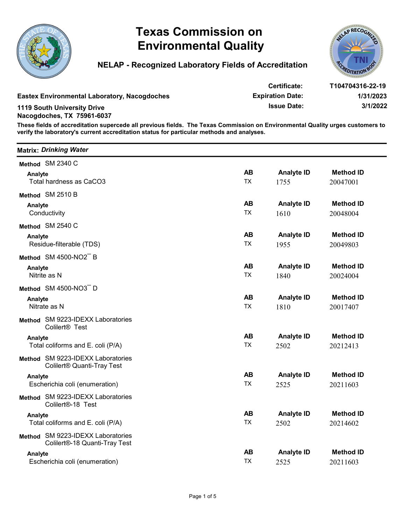



| <b>Eastex Environmental Laboratory, Nacogdoches</b><br><b>1119 South University Drive</b><br>Nacogdoches, TX 75961-6037 | <b>NELAP - Recognized Laboratory Fields of Accreditation</b>                                                                                                                                                               |                        |                                                               |                                           |
|-------------------------------------------------------------------------------------------------------------------------|----------------------------------------------------------------------------------------------------------------------------------------------------------------------------------------------------------------------------|------------------------|---------------------------------------------------------------|-------------------------------------------|
|                                                                                                                         |                                                                                                                                                                                                                            |                        |                                                               | <b>DITATION</b>                           |
|                                                                                                                         | These fields of accreditation supercede all previous fields. The Texas Commission on Environmental Quality urges customers to<br>verify the laboratory's current accreditation status for particular methods and analyses. |                        | Certificate:<br><b>Expiration Date:</b><br><b>Issue Date:</b> | T104704316-22-19<br>1/31/2023<br>3/1/2022 |
| <b>Matrix: Drinking Water</b>                                                                                           |                                                                                                                                                                                                                            |                        |                                                               |                                           |
| Method SM 2340 C                                                                                                        |                                                                                                                                                                                                                            |                        |                                                               |                                           |
| Analyte<br>Total hardness as CaCO3                                                                                      |                                                                                                                                                                                                                            | <b>AB</b><br><b>TX</b> | <b>Analyte ID</b>                                             | <b>Method ID</b>                          |
|                                                                                                                         |                                                                                                                                                                                                                            |                        | 1755                                                          | 20047001                                  |
| Method SM 2510 B<br>Analyte                                                                                             |                                                                                                                                                                                                                            | <b>AB</b>              | <b>Analyte ID</b>                                             | <b>Method ID</b>                          |
| Conductivity                                                                                                            |                                                                                                                                                                                                                            | <b>TX</b>              | 1610                                                          | 20048004                                  |
| Method SM 2540 C                                                                                                        |                                                                                                                                                                                                                            |                        |                                                               |                                           |
| Analyte                                                                                                                 |                                                                                                                                                                                                                            | <b>AB</b>              | <b>Analyte ID</b>                                             | <b>Method ID</b>                          |
| Residue-filterable (TDS)                                                                                                |                                                                                                                                                                                                                            | <b>TX</b>              | 1955                                                          | 20049803                                  |
| Method SM 4500-NO2 B                                                                                                    |                                                                                                                                                                                                                            | <b>AB</b>              | <b>Analyte ID</b>                                             | <b>Method ID</b>                          |
| Analyte<br>Nitrite as N                                                                                                 |                                                                                                                                                                                                                            | <b>TX</b>              | 1840                                                          | 20024004                                  |
| Method SM 4500-NO3 D                                                                                                    |                                                                                                                                                                                                                            |                        |                                                               |                                           |
| Analyte                                                                                                                 |                                                                                                                                                                                                                            | <b>AB</b>              | <b>Analyte ID</b>                                             | <b>Method ID</b>                          |
| Nitrate as N                                                                                                            |                                                                                                                                                                                                                            | <b>TX</b>              | 1810                                                          | 20017407                                  |
| Method SM 9223-IDEXX Laboratories<br>Colilert <sup>®</sup> Test                                                         |                                                                                                                                                                                                                            |                        |                                                               |                                           |
| Analyte                                                                                                                 |                                                                                                                                                                                                                            | <b>AB</b>              | <b>Analyte ID</b>                                             | <b>Method ID</b>                          |
| Total coliforms and E. coli (P/A)                                                                                       |                                                                                                                                                                                                                            | <b>TX</b>              | 2502                                                          | 20212413                                  |
| Method SM 9223-IDEXX Laboratories<br>Colilert <sup>®</sup> Quanti-Tray Test                                             |                                                                                                                                                                                                                            |                        |                                                               |                                           |
| Analyte                                                                                                                 |                                                                                                                                                                                                                            | <b>AB</b>              | <b>Analyte ID</b>                                             | <b>Method ID</b>                          |
| Escherichia coli (enumeration)                                                                                          |                                                                                                                                                                                                                            | <b>TX</b>              | 2525                                                          | 20211603                                  |
| Method SM 9223-IDEXX Laboratories<br>Colilert <sup>®</sup> -18 Test                                                     |                                                                                                                                                                                                                            |                        |                                                               |                                           |
| Analyte<br>Total coliforms and E. coli (P/A)                                                                            |                                                                                                                                                                                                                            | <b>AB</b><br><b>TX</b> | <b>Analyte ID</b><br>2502                                     | <b>Method ID</b><br>20214602              |
| Method SM 9223-IDEXX Laboratories                                                                                       | Colilert®-18 Quanti-Tray Test                                                                                                                                                                                              |                        |                                                               |                                           |
| Analyte                                                                                                                 |                                                                                                                                                                                                                            | <b>AB</b>              | <b>Analyte ID</b>                                             | <b>Method ID</b>                          |
| Escherichia coli (enumeration)                                                                                          |                                                                                                                                                                                                                            | <b>TX</b>              | 2525                                                          | 20211603                                  |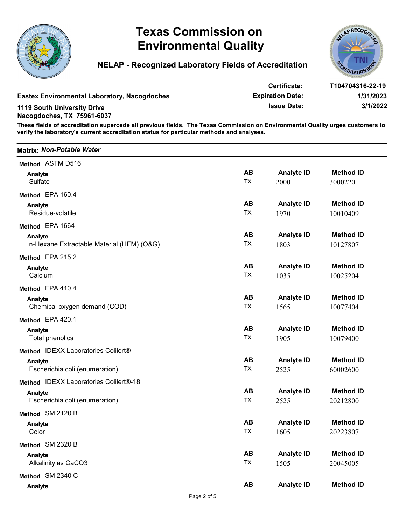



|                                                                  | <b>Texas Commission on</b><br><b>Environmental Quality</b>                                                                                                                                                                 |                         |                                                                      | CLAP RECOG                                |
|------------------------------------------------------------------|----------------------------------------------------------------------------------------------------------------------------------------------------------------------------------------------------------------------------|-------------------------|----------------------------------------------------------------------|-------------------------------------------|
|                                                                  | <b>NELAP - Recognized Laboratory Fields of Accreditation</b>                                                                                                                                                               |                         |                                                                      | 'OITATION                                 |
|                                                                  | <b>Eastex Environmental Laboratory, Nacogdoches</b>                                                                                                                                                                        |                         | <b>Certificate:</b><br><b>Expiration Date:</b><br><b>Issue Date:</b> | T104704316-22-19<br>1/31/2023<br>3/1/2022 |
| <b>1119 South University Drive</b><br>Nacogdoches, TX 75961-6037 | These fields of accreditation supercede all previous fields. The Texas Commission on Environmental Quality urges customers to<br>verify the laboratory's current accreditation status for particular methods and analyses. |                         |                                                                      |                                           |
| <b>Matrix: Non-Potable Water</b>                                 |                                                                                                                                                                                                                            |                         |                                                                      |                                           |
| Method ASTM D516                                                 |                                                                                                                                                                                                                            |                         |                                                                      |                                           |
| Analyte<br>Sulfate                                               |                                                                                                                                                                                                                            | <b>AB</b><br><b>TX</b>  | <b>Analyte ID</b><br>2000                                            | <b>Method ID</b><br>30002201              |
| Method EPA 160.4                                                 |                                                                                                                                                                                                                            |                         |                                                                      |                                           |
| Analyte<br>Residue-volatile                                      |                                                                                                                                                                                                                            | <b>AB</b><br><b>TX</b>  | <b>Analyte ID</b><br>1970                                            | <b>Method ID</b><br>10010409              |
| Method EPA 1664                                                  |                                                                                                                                                                                                                            |                         |                                                                      |                                           |
| Analyte                                                          | n-Hexane Extractable Material (HEM) (O&G)                                                                                                                                                                                  | <b>AB</b><br>TX         | <b>Analyte ID</b><br>1803                                            | <b>Method ID</b><br>10127807              |
| Method EPA 215.2                                                 |                                                                                                                                                                                                                            |                         |                                                                      |                                           |
| Analyte<br>Calcium                                               |                                                                                                                                                                                                                            | <b>AB</b><br>TX         | <b>Analyte ID</b><br>1035                                            | <b>Method ID</b><br>10025204              |
| Method EPA 410.4                                                 |                                                                                                                                                                                                                            |                         |                                                                      |                                           |
| Analyte<br>Chemical oxygen demand (COD)                          |                                                                                                                                                                                                                            | <b>AB</b><br>${\sf TX}$ | <b>Analyte ID</b><br>1565                                            | <b>Method ID</b><br>10077404              |
| Method EPA 420.1                                                 |                                                                                                                                                                                                                            |                         |                                                                      |                                           |
| Analyte<br><b>Total phenolics</b>                                |                                                                                                                                                                                                                            | <b>AB</b><br>${\sf TX}$ | <b>Analyte ID</b><br>1905                                            | <b>Method ID</b><br>10079400              |
| Method IDEXX Laboratories Colilert®                              |                                                                                                                                                                                                                            |                         |                                                                      |                                           |
| Analyte<br>Escherichia coli (enumeration)                        |                                                                                                                                                                                                                            | <b>AB</b><br>TX         | <b>Analyte ID</b><br>2525                                            | <b>Method ID</b><br>60002600              |
| Method IDEXX Laboratories Colilert®-18                           |                                                                                                                                                                                                                            |                         |                                                                      |                                           |
| Analyte<br>Escherichia coli (enumeration)                        |                                                                                                                                                                                                                            | <b>AB</b><br>${\sf TX}$ | <b>Analyte ID</b><br>2525                                            | <b>Method ID</b><br>20212800              |
| Method SM 2120 B                                                 |                                                                                                                                                                                                                            |                         |                                                                      |                                           |
| Analyte<br>Color                                                 |                                                                                                                                                                                                                            | <b>AB</b><br>TX         | <b>Analyte ID</b><br>1605                                            | <b>Method ID</b><br>20223807              |
| Method SM 2320 B                                                 |                                                                                                                                                                                                                            |                         |                                                                      |                                           |
| Analyte<br>Alkalinity as CaCO3                                   |                                                                                                                                                                                                                            | <b>AB</b><br>TX         | <b>Analyte ID</b><br>1505                                            | <b>Method ID</b><br>20045005              |
| Method SM 2340 C                                                 |                                                                                                                                                                                                                            |                         |                                                                      |                                           |
| Analyte                                                          | Page 2 of 5                                                                                                                                                                                                                | <b>AB</b>               | <b>Analyte ID</b>                                                    | <b>Method ID</b>                          |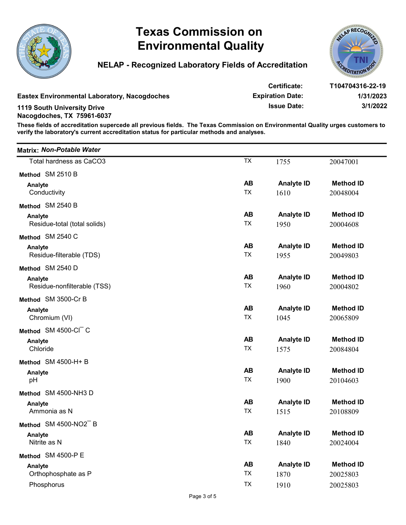



|                                     | <b>Texas Commission on</b><br><b>Environmental Quality</b>                                                                                                                                                                 |                         |                                                                      | AP RECOG                                  |
|-------------------------------------|----------------------------------------------------------------------------------------------------------------------------------------------------------------------------------------------------------------------------|-------------------------|----------------------------------------------------------------------|-------------------------------------------|
|                                     | <b>NELAP - Recognized Laboratory Fields of Accreditation</b>                                                                                                                                                               |                         |                                                                      | <b>DITATION</b>                           |
| <b>1119 South University Drive</b>  | <b>Eastex Environmental Laboratory, Nacogdoches</b>                                                                                                                                                                        |                         | <b>Certificate:</b><br><b>Expiration Date:</b><br><b>Issue Date:</b> | T104704316-22-19<br>1/31/2023<br>3/1/2022 |
| Nacogdoches, TX 75961-6037          | These fields of accreditation supercede all previous fields. The Texas Commission on Environmental Quality urges customers to<br>verify the laboratory's current accreditation status for particular methods and analyses. |                         |                                                                      |                                           |
| Matrix: Non-Potable Water           |                                                                                                                                                                                                                            |                         |                                                                      |                                           |
| Total hardness as CaCO3             |                                                                                                                                                                                                                            | <b>TX</b>               | 1755                                                                 | 20047001                                  |
| Method SM 2510 B                    |                                                                                                                                                                                                                            |                         |                                                                      |                                           |
| Analyte                             |                                                                                                                                                                                                                            | <b>AB</b>               | <b>Analyte ID</b>                                                    | <b>Method ID</b>                          |
| Conductivity                        |                                                                                                                                                                                                                            | <b>TX</b>               | 1610                                                                 | 20048004                                  |
| Method SM 2540 B                    |                                                                                                                                                                                                                            |                         |                                                                      |                                           |
| Analyte                             |                                                                                                                                                                                                                            | <b>AB</b>               | <b>Analyte ID</b>                                                    | <b>Method ID</b>                          |
| Residue-total (total solids)        |                                                                                                                                                                                                                            | <b>TX</b>               | 1950                                                                 | 20004608                                  |
| Method SM 2540 C                    |                                                                                                                                                                                                                            |                         |                                                                      |                                           |
| Analyte<br>Residue-filterable (TDS) |                                                                                                                                                                                                                            | <b>AB</b><br><b>TX</b>  | <b>Analyte ID</b><br>1955                                            | <b>Method ID</b><br>20049803              |
| Method SM 2540 D                    |                                                                                                                                                                                                                            |                         |                                                                      |                                           |
| Analyte                             |                                                                                                                                                                                                                            | <b>AB</b>               | <b>Analyte ID</b>                                                    | <b>Method ID</b>                          |
| Residue-nonfilterable (TSS)         |                                                                                                                                                                                                                            | <b>TX</b>               | 1960                                                                 | 20004802                                  |
| Method SM 3500-Cr B                 |                                                                                                                                                                                                                            |                         |                                                                      |                                           |
| Analyte<br>Chromium (VI)            |                                                                                                                                                                                                                            | <b>AB</b><br>${\sf TX}$ | <b>Analyte ID</b>                                                    | <b>Method ID</b>                          |
|                                     |                                                                                                                                                                                                                            |                         | 1045                                                                 | 20065809                                  |
| Method SM 4500-CI C                 |                                                                                                                                                                                                                            | <b>AB</b>               | <b>Analyte ID</b>                                                    | <b>Method ID</b>                          |
| Analyte<br>Chloride                 |                                                                                                                                                                                                                            | ${\sf TX}$              | 1575                                                                 | 20084804                                  |
| Method SM 4500-H+ B                 |                                                                                                                                                                                                                            |                         |                                                                      |                                           |
| Analyte                             |                                                                                                                                                                                                                            | <b>AB</b>               | <b>Analyte ID</b>                                                    | <b>Method ID</b>                          |
| pH                                  |                                                                                                                                                                                                                            | <b>TX</b>               | 1900                                                                 | 20104603                                  |
| Method SM 4500-NH3 D                |                                                                                                                                                                                                                            |                         |                                                                      |                                           |
| Analyte                             |                                                                                                                                                                                                                            | <b>AB</b>               | <b>Analyte ID</b>                                                    | <b>Method ID</b>                          |
| Ammonia as N                        |                                                                                                                                                                                                                            | ${\sf TX}$              | 1515                                                                 | 20108809                                  |
| Method SM 4500-NO2 B                |                                                                                                                                                                                                                            |                         |                                                                      |                                           |
| Analyte                             |                                                                                                                                                                                                                            | <b>AB</b>               | <b>Analyte ID</b>                                                    | <b>Method ID</b>                          |
| Nitrite as N                        |                                                                                                                                                                                                                            | <b>TX</b>               | 1840                                                                 | 20024004                                  |
|                                     |                                                                                                                                                                                                                            |                         |                                                                      |                                           |
| Method SM 4500-P E                  |                                                                                                                                                                                                                            | <b>AB</b>               | <b>Analyte ID</b>                                                    | <b>Method ID</b>                          |
| Analyte                             |                                                                                                                                                                                                                            |                         |                                                                      |                                           |
| Orthophosphate as P<br>Phosphorus   |                                                                                                                                                                                                                            | TX<br>TX                | 1870<br>1910                                                         | 20025803<br>20025803                      |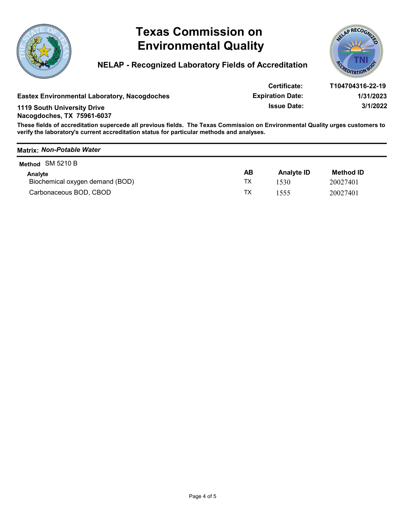





|                                                                  | <b>Texas Commission on</b><br><b>Environmental Quality</b><br><b>NELAP - Recognized Laboratory Fields of Accreditation</b>                                                                                                 |           |                         | AP RECO          |
|------------------------------------------------------------------|----------------------------------------------------------------------------------------------------------------------------------------------------------------------------------------------------------------------------|-----------|-------------------------|------------------|
|                                                                  |                                                                                                                                                                                                                            |           | <b>Certificate:</b>     | T104704316-22-19 |
|                                                                  |                                                                                                                                                                                                                            |           |                         |                  |
|                                                                  | <b>Eastex Environmental Laboratory, Nacogdoches</b>                                                                                                                                                                        |           | <b>Expiration Date:</b> | 1/31/2023        |
| <b>1119 South University Drive</b><br>Nacogdoches, TX 75961-6037 |                                                                                                                                                                                                                            |           | <b>Issue Date:</b>      | 3/1/2022         |
|                                                                  | These fields of accreditation supercede all previous fields. The Texas Commission on Environmental Quality urges customers to<br>verify the laboratory's current accreditation status for particular methods and analyses. |           |                         |                  |
| <b>Matrix: Non-Potable Water</b>                                 |                                                                                                                                                                                                                            |           |                         |                  |
| Method SM 5210 B                                                 |                                                                                                                                                                                                                            |           |                         |                  |
| Analyte                                                          |                                                                                                                                                                                                                            | <b>AB</b> | <b>Analyte ID</b>       | <b>Method ID</b> |
| Biochemical oxygen demand (BOD)                                  |                                                                                                                                                                                                                            | <b>TX</b> | 1530                    | 20027401         |